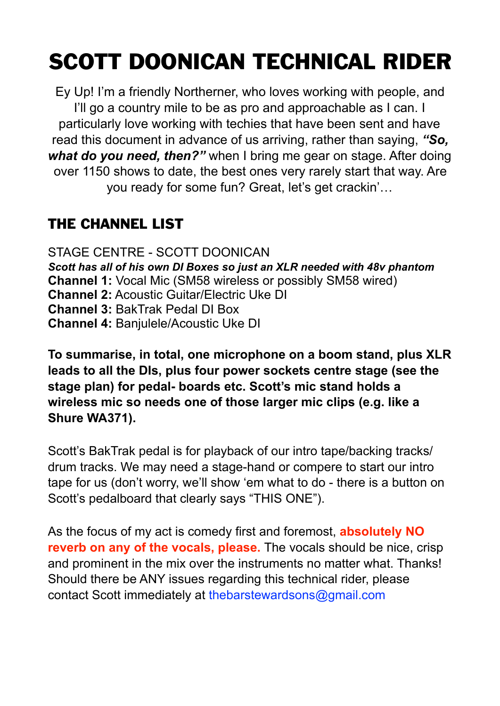# SCOTT DOONICAN TECHNICAL RIDER

Ey Up! I'm a friendly Northerner, who loves working with people, and I'll go a country mile to be as pro and approachable as I can. I particularly love working with techies that have been sent and have read this document in advance of us arriving, rather than saying, *"So, what do you need, then?"* when I bring me gear on stage. After doing over 1150 shows to date, the best ones very rarely start that way. Are you ready for some fun? Great, let's get crackin'…

### THE CHANNEL LIST

STAGE CENTRE - SCOTT DOONICAN *Scott has all of his own DI Boxes so just an XLR needed with 48v phantom* **Channel 1:** Vocal Mic (SM58 wireless or possibly SM58 wired) **Channel 2:** Acoustic Guitar/Electric Uke DI **Channel 3:** BakTrak Pedal DI Box **Channel 4:** Banjulele/Acoustic Uke DI

**To summarise, in total, one microphone on a boom stand, plus XLR leads to all the DIs, plus four power sockets centre stage (see the stage plan) for pedal- boards etc. Scott's mic stand holds a wireless mic so needs one of those larger mic clips (e.g. like a Shure WA371).** 

Scott's BakTrak pedal is for playback of our intro tape/backing tracks/ drum tracks. We may need a stage-hand or compere to start our intro tape for us (don't worry, we'll show 'em what to do - there is a button on Scott's pedalboard that clearly says "THIS ONE").

As the focus of my act is comedy first and foremost, **absolutely NO reverb on any of the vocals, please.** The vocals should be nice, crisp and prominent in the mix over the instruments no matter what. Thanks! Should there be ANY issues regarding this technical rider, please contact Scott immediately at thebarstewardsons@gmail.com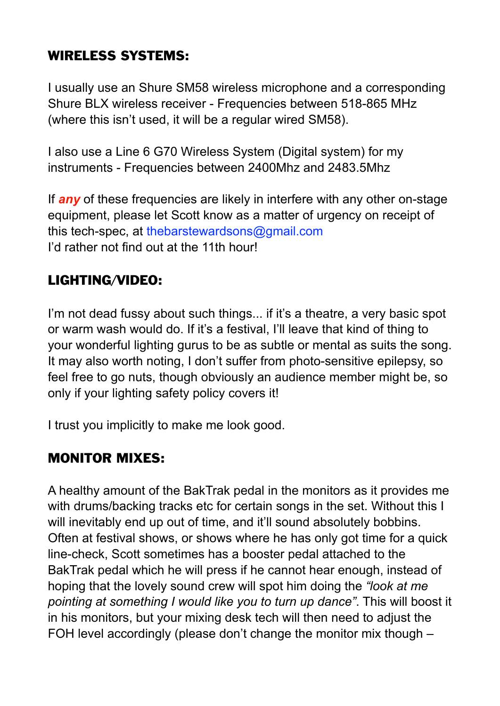#### WIRELESS SYSTEMS:

I usually use an Shure SM58 wireless microphone and a corresponding Shure BLX wireless receiver - Frequencies between 518-865 MHz (where this isn't used, it will be a regular wired SM58).

I also use a Line 6 G70 Wireless System (Digital system) for my instruments - Frequencies between 2400Mhz and 2483.5Mhz

If *any* of these frequencies are likely in interfere with any other on-stage equipment, please let Scott know as a matter of urgency on receipt of this tech-spec, at thebarstewardsons@gmail.com I'd rather not find out at the 11th hour!

#### LIGHTING/VIDEO:

I'm not dead fussy about such things... if it's a theatre, a very basic spot or warm wash would do. If it's a festival, I'll leave that kind of thing to your wonderful lighting gurus to be as subtle or mental as suits the song. It may also worth noting, I don't suffer from photo-sensitive epilepsy, so feel free to go nuts, though obviously an audience member might be, so only if your lighting safety policy covers it!

I trust you implicitly to make me look good.

#### MONITOR MIXES:

A healthy amount of the BakTrak pedal in the monitors as it provides me with drums/backing tracks etc for certain songs in the set. Without this I will inevitably end up out of time, and it'll sound absolutely bobbins. Often at festival shows, or shows where he has only got time for a quick line-check, Scott sometimes has a booster pedal attached to the BakTrak pedal which he will press if he cannot hear enough, instead of hoping that the lovely sound crew will spot him doing the *"look at me pointing at something I would like you to turn up dance"*. This will boost it in his monitors, but your mixing desk tech will then need to adjust the FOH level accordingly (please don't change the monitor mix though –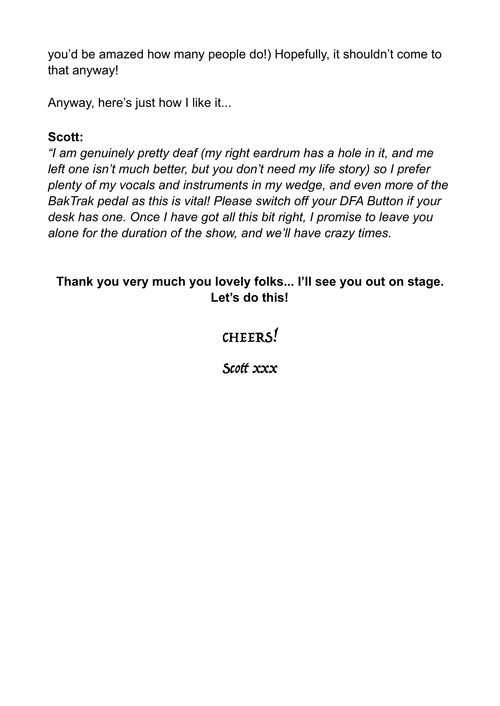you'd be amazed how many people do!) Hopefully, it shouldn't come to that anyway!

Anyway, here's just how I like it...

#### **Scott:**

*"I am genuinely pretty deaf (my right eardrum has a hole in it, and me left one isn't much better, but you don't need my life story) so I prefer plenty of my vocals and instruments in my wedge, and even more of the BakTrak pedal as this is vital! Please switch off your DFA Button if your desk has one. Once I have got all this bit right, I promise to leave you alone for the duration of the show, and we'll have crazy times.* 

#### **Thank you very much you lovely folks... I'll see you out on stage. Let's do this!**

## CHEERS!

Scott xxx